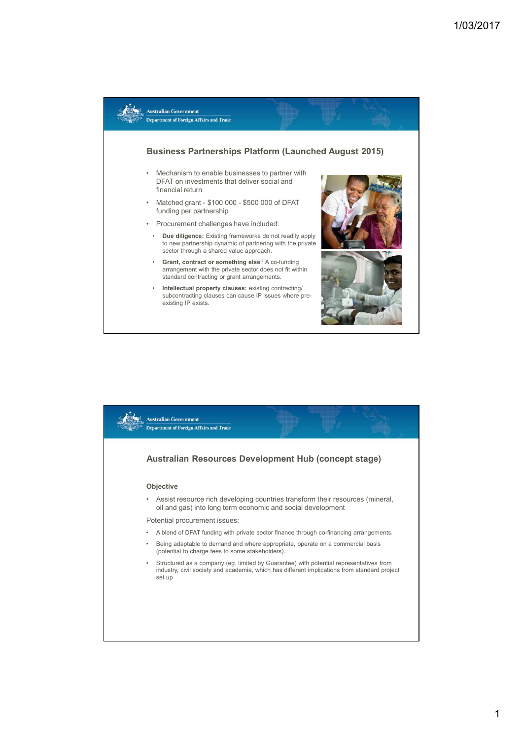